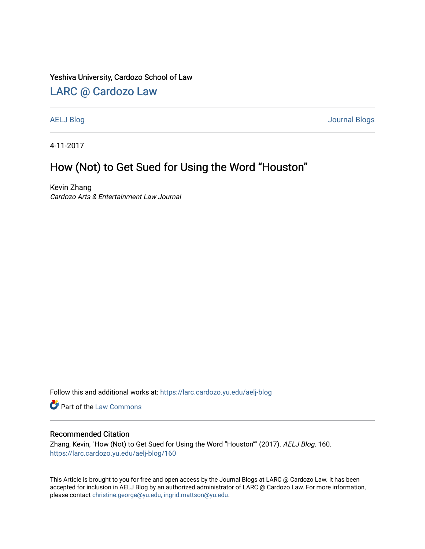### Yeshiva University, Cardozo School of Law

## [LARC @ Cardozo Law](https://larc.cardozo.yu.edu/)

[AELJ Blog](https://larc.cardozo.yu.edu/aelj-blog) [Journal Blogs](https://larc.cardozo.yu.edu/journal-blogs) 

4-11-2017

## How (Not) to Get Sued for Using the Word "Houston"

Kevin Zhang Cardozo Arts & Entertainment Law Journal

Follow this and additional works at: [https://larc.cardozo.yu.edu/aelj-blog](https://larc.cardozo.yu.edu/aelj-blog?utm_source=larc.cardozo.yu.edu%2Faelj-blog%2F160&utm_medium=PDF&utm_campaign=PDFCoverPages) 

Part of the [Law Commons](http://network.bepress.com/hgg/discipline/578?utm_source=larc.cardozo.yu.edu%2Faelj-blog%2F160&utm_medium=PDF&utm_campaign=PDFCoverPages)

#### Recommended Citation

Zhang, Kevin, "How (Not) to Get Sued for Using the Word "Houston"" (2017). AELJ Blog. 160. [https://larc.cardozo.yu.edu/aelj-blog/160](https://larc.cardozo.yu.edu/aelj-blog/160?utm_source=larc.cardozo.yu.edu%2Faelj-blog%2F160&utm_medium=PDF&utm_campaign=PDFCoverPages) 

This Article is brought to you for free and open access by the Journal Blogs at LARC @ Cardozo Law. It has been accepted for inclusion in AELJ Blog by an authorized administrator of LARC @ Cardozo Law. For more information, please contact [christine.george@yu.edu, ingrid.mattson@yu.edu.](mailto:christine.george@yu.edu,%20ingrid.mattson@yu.edu)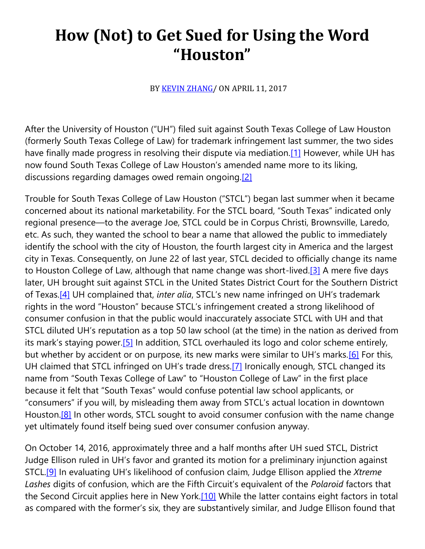# **How (Not) to Get Sued for Using the Word "Houston"**

BY [KEVIN ZHANG/](https://cardozoaelj.com/author/kevinzhang/) ON APRIL 11, 2017

After the University of Houston ("UH") filed suit against South Texas College of Law Houston (formerly South Texas College of Law) for trademark infringement last summer, the two sides have finally made progress in resolving their dispute via mediation.<sup>[1]</sup> However, while UH has now found South Texas College of Law Houston's amended name more to its liking, discussions regarding damages owed remain ongoing[.\[2\]](https://cardozoaelj.com/2017/04/11/not-get-sued-using-word-houston/#_ftn2)

Trouble for South Texas College of Law Houston ("STCL") began last summer when it became concerned about its national marketability. For the STCL board, "South Texas" indicated only regional presence—to the average Joe, STCL could be in Corpus Christi, Brownsville, Laredo, etc. As such, they wanted the school to bear a name that allowed the public to immediately identify the school with the city of Houston, the fourth largest city in America and the largest city in Texas. Consequently, on June 22 of last year, STCL decided to officially change its name to Houston College of Law, although that name change was short-lived[.\[3\]](https://cardozoaelj.com/2017/04/11/not-get-sued-using-word-houston/#_ftn3) A mere five days later, UH brought suit against STCL in the United States District Court for the Southern District of Texas[.\[4\]](https://cardozoaelj.com/2017/04/11/not-get-sued-using-word-houston/#_ftn4) UH complained that, *inter alia*, STCL's new name infringed on UH's trademark rights in the word "Houston" because STCL's infringement created a strong likelihood of consumer confusion in that the public would inaccurately associate STCL with UH and that STCL diluted UH's reputation as a top 50 law school (at the time) in the nation as derived from its mark's staying power.[\[5\]](https://cardozoaelj.com/2017/04/11/not-get-sued-using-word-houston/#_ftn5) In addition, STCL overhauled its logo and color scheme entirely, but whether by accident or on purpose, its new marks were similar to UH's marks.<sup>[\[6\]](https://cardozoaelj.com/2017/04/11/not-get-sued-using-word-houston/#_ftn6)</sup> For this, UH claimed that STCL infringed on UH's trade dress.[\[7\]](https://cardozoaelj.com/2017/04/11/not-get-sued-using-word-houston/#_ftn7) Ironically enough, STCL changed its name from "South Texas College of Law" to "Houston College of Law" in the first place because it felt that "South Texas" would confuse potential law school applicants, or "consumers" if you will, by misleading them away from STCL's actual location in downtown Houston.<sup>[8]</sup> In other words, STCL sought to avoid consumer confusion with the name change yet ultimately found itself being sued over consumer confusion anyway.

On October 14, 2016, approximately three and a half months after UH sued STCL, District Judge Ellison ruled in UH's favor and granted its motion for a preliminary injunction against STCL[.\[9\]](https://cardozoaelj.com/2017/04/11/not-get-sued-using-word-houston/#_ftn9) In evaluating UH's likelihood of confusion claim, Judge Ellison applied the *Xtreme Lashes* digits of confusion, which are the Fifth Circuit's equivalent of the *Polaroid* factors that the Second Circuit applies here in New York.<sup>[10]</sup> While the latter contains eight factors in total as compared with the former's six, they are substantively similar, and Judge Ellison found that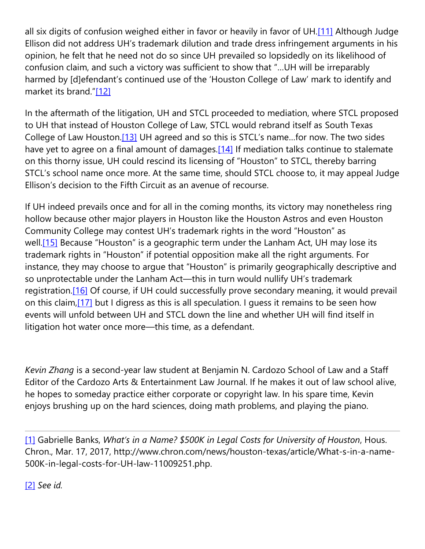all six digits of confusion weighed either in favor or heavily in favor of UH.<sup>[11]</sup> Although Judge Ellison did not address UH's trademark dilution and trade dress infringement arguments in his opinion, he felt that he need not do so since UH prevailed so lopsidedly on its likelihood of confusion claim, and such a victory was sufficient to show that "…UH will be irreparably harmed by [d]efendant's continued use of the 'Houston College of Law' mark to identify and market its brand."[\[12\]](https://cardozoaelj.com/2017/04/11/not-get-sued-using-word-houston/#_ftn12)

In the aftermath of the litigation, UH and STCL proceeded to mediation, where STCL proposed to UH that instead of Houston College of Law, STCL would rebrand itself as South Texas College of Law Houston[.\[13\]](https://cardozoaelj.com/2017/04/11/not-get-sued-using-word-houston/#_ftn13) UH agreed and so this is STCL's name…for now. The two sides have yet to agree on a final amount of damages.<sup>[14]</sup> If mediation talks continue to stalemate on this thorny issue, UH could rescind its licensing of "Houston" to STCL, thereby barring STCL's school name once more. At the same time, should STCL choose to, it may appeal Judge Ellison's decision to the Fifth Circuit as an avenue of recourse.

If UH indeed prevails once and for all in the coming months, its victory may nonetheless ring hollow because other major players in Houston like the Houston Astros and even Houston Community College may contest UH's trademark rights in the word "Houston" as well.<sup>[15]</sup> Because "Houston" is a geographic term under the Lanham Act, UH may lose its trademark rights in "Houston" if potential opposition make all the right arguments. For instance, they may choose to argue that "Houston" is primarily geographically descriptive and so unprotectable under the Lanham Act—this in turn would nullify UH's trademark registration[.\[16\]](https://cardozoaelj.com/2017/04/11/not-get-sued-using-word-houston/#_ftn16) Of course, if UH could successfully prove secondary meaning, it would prevail on this claim[,\[17\]](https://cardozoaelj.com/2017/04/11/not-get-sued-using-word-houston/#_ftn17) but I digress as this is all speculation. I guess it remains to be seen how events will unfold between UH and STCL down the line and whether UH will find itself in litigation hot water once more—this time, as a defendant.

*Kevin Zhang* is a second-year law student at Benjamin N. Cardozo School of Law and a Staff Editor of the Cardozo Arts & Entertainment Law Journal. If he makes it out of law school alive, he hopes to someday practice either corporate or copyright law. In his spare time, Kevin enjoys brushing up on the hard sciences, doing math problems, and playing the piano.

[\[1\]](https://cardozoaelj.com/2017/04/11/not-get-sued-using-word-houston/#_ftnref) Gabrielle Banks, *What's in a Name? \$500K in Legal Costs for University of Houston*, Hous. Chron., Mar. 17, 2017, http://www.chron.com/news/houston-texas/article/What-s-in-a-name-500K-in-legal-costs-for-UH-law-11009251.php.

[\[2\]](https://cardozoaelj.com/2017/04/11/not-get-sued-using-word-houston/#_ftnref) *See id.*